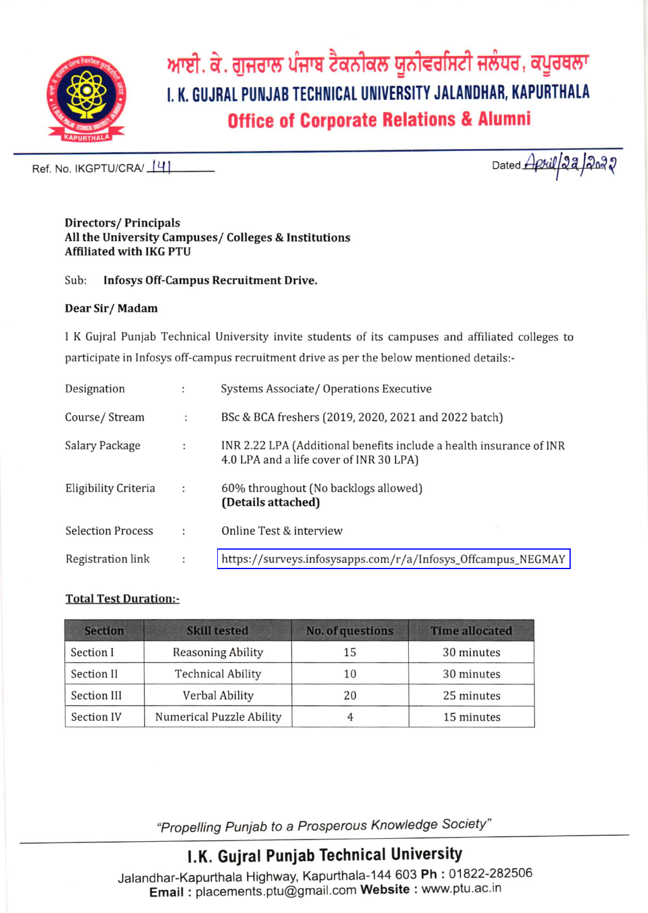

ਆਈ. ਕੇ. ਗੁਜਰਾਲ ਪੰਜਾਬ ਟੈਕਨੀਕਲ ਯੂਨੀਵਰਸਿਟੀ ਜਲੰਧਰ, ਕਪੂਰਥਲਾ I. K. GUJRAL PUNJAB TECHNICAL UNIVERSITY JALANDHAR, KAPURTHALA **Office of Corporate Relations & Alumni** 

Ref. No. IKGPTU/CRA/141

Dated *April 22 2022* 

#### **Directors/Principals** All the University Campuses/Colleges & Institutions **Affiliated with IKG PTU**

Sub: **Infosys Off-Campus Recruitment Drive.** 

### Dear Sir/Madam

I K Gujral Punjab Technical University invite students of its campuses and affiliated colleges to participate in Infosys off-campus recruitment drive as per the below mentioned details:-

| Designation              | ÷                    | Systems Associate/ Operations Executive                                                                        |
|--------------------------|----------------------|----------------------------------------------------------------------------------------------------------------|
| Course/Stream            | ÷                    | BSc & BCA freshers (2019, 2020, 2021 and 2022 batch)                                                           |
| Salary Package           | ÷                    | INR 2.22 LPA (Additional benefits include a health insurance of INR<br>4.0 LPA and a life cover of INR 30 LPA) |
| Eligibility Criteria     | $\ddot{\phantom{a}}$ | 60% throughout (No backlogs allowed)<br>(Details attached)                                                     |
| <b>Selection Process</b> | ÷                    | Online Test & interview                                                                                        |
| Registration link        | $\ddot{\phantom{a}}$ | https://surveys.infosysapps.com/r/a/Infosys_Offcampus_NEGMAY                                                   |

### **Total Test Duration:-**

| <b>Section</b> | <b>Skill tested</b>      | <b>No. of questions</b> | <b>Time allocated</b> |
|----------------|--------------------------|-------------------------|-----------------------|
| Section I      | <b>Reasoning Ability</b> | 15                      | 30 minutes            |
| Section II     | <b>Technical Ability</b> | 10                      | 30 minutes            |
| Section III    | Verbal Ability           | 20                      | 25 minutes            |
| Section IV     | Numerical Puzzle Ability |                         | 15 minutes            |

"Propelling Punjab to a Prosperous Knowledge Society"

## I.K. Gujral Punjab Technical University

Jalandhar-Kapurthala Highway, Kapurthala-144 603 Ph: 01822-282506 Email: placements.ptu@gmail.com Website: www.ptu.ac.in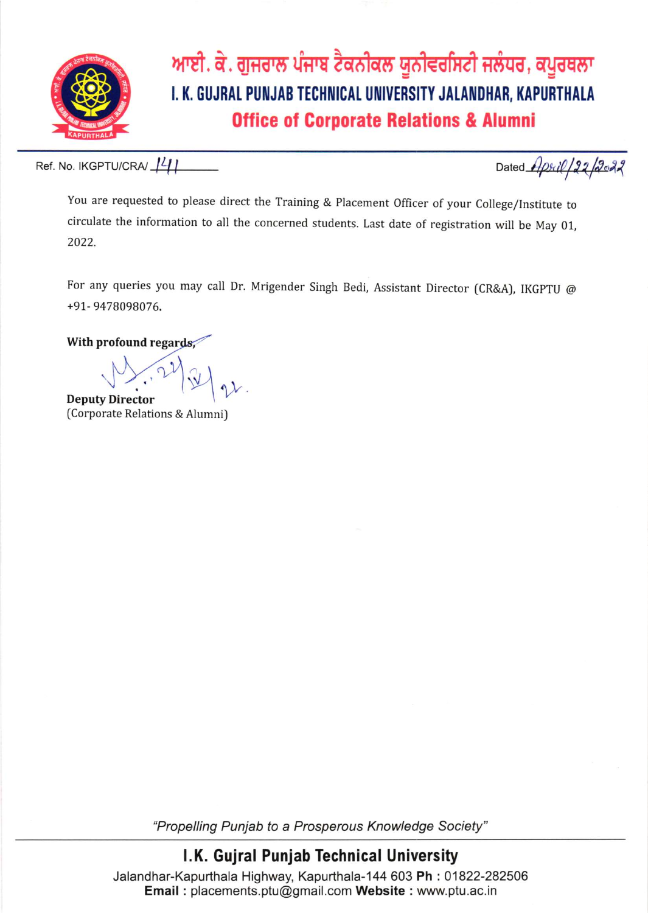

ਆਈ. ਕੇ. ਗੁਜਰਾਲ ਪੰਜਾਬ ਟੈਕਨੀਕਲ ਯੂਨੀਵਰਸਿਟੀ ਜਲੰਧਰ, ਕਪੂਰਥਲਾ I. K. GUJRAL PUNJAB TECHNICAL UNIVERSITY JALANDHAR, KAPURTHALA **Office of Corporate Relations & Alumni** 

Ref. No. IKGPTU/CRA/ 141

Dated Apsil/22/2022

You are requested to please direct the Training & Placement Officer of your College/Institute to circulate the information to all the concerned students. Last date of registration will be May 01, 2022.

For any queries you may call Dr. Mrigender Singh Bedi, Assistant Director (CR&A), IKGPTU @ +91-9478098076.

With profound regards,

**Deputy Director** 

(Corporate Relations & Alumni)

"Propelling Punjab to a Prosperous Knowledge Society"

## I.K. Gujral Punjab Technical University

Jalandhar-Kapurthala Highway, Kapurthala-144 603 Ph: 01822-282506 Email: placements.ptu@gmail.com Website: www.ptu.ac.in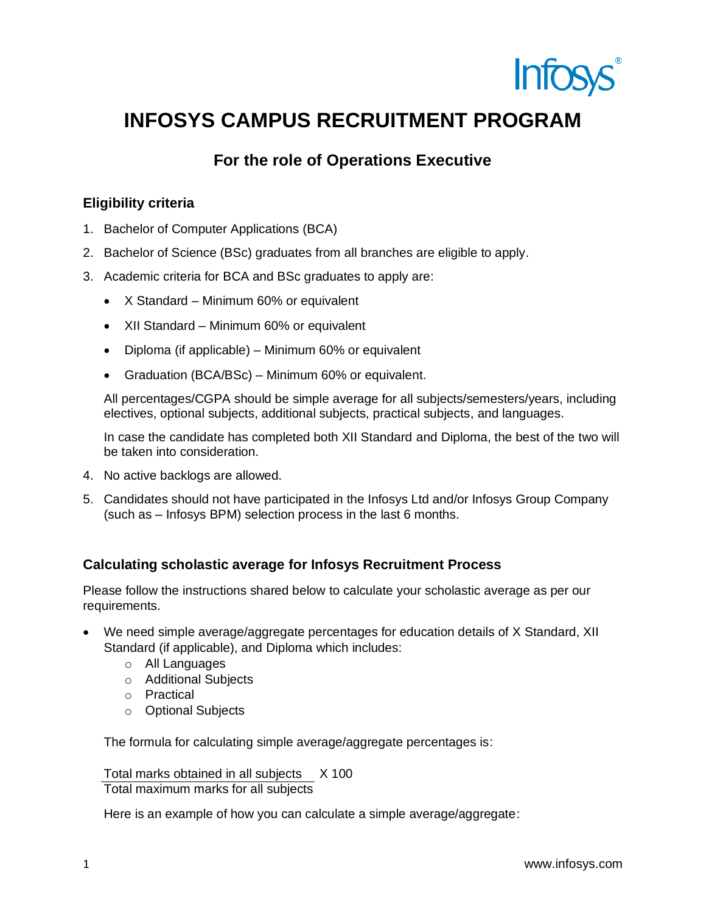

# **INFOSYS CAMPUS RECRUITMENT PROGRAM**

### **For the role of Operations Executive**

### **Eligibility criteria**

- 1. Bachelor of Computer Applications (BCA)
- 2. Bachelor of Science (BSc) graduates from all branches are eligible to apply.
- 3. Academic criteria for BCA and BSc graduates to apply are:
	- X Standard Minimum 60% or equivalent
	- XII Standard Minimum 60% or equivalent
	- Diploma (if applicable) Minimum 60% or equivalent
	- Graduation (BCA/BSc) Minimum 60% or equivalent.

All percentages/CGPA should be simple average for all subjects/semesters/years, including electives, optional subjects, additional subjects, practical subjects, and languages.

In case the candidate has completed both XII Standard and Diploma, the best of the two will be taken into consideration.

- 4. No active backlogs are allowed.
- 5. Candidates should not have participated in the Infosys Ltd and/or Infosys Group Company (such as – Infosys BPM) selection process in the last 6 months.

### **Calculating scholastic average for Infosys Recruitment Process**

Please follow the instructions shared below to calculate your scholastic average as per our requirements.

- We need simple average/aggregate percentages for education details of X Standard, XII Standard (if applicable), and Diploma which includes:
	- o All Languages
	- o Additional Subjects
	- o Practical
	- o Optional Subjects

The formula for calculating simple average/aggregate percentages is:

Total marks obtained in all subjects X 100

Total maximum marks for all subjects

Here is an example of how you can calculate a simple average/aggregate: